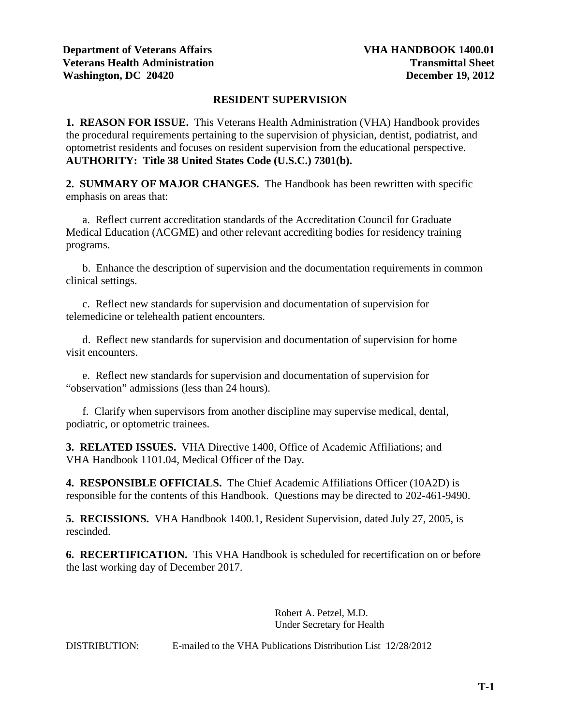## **RESIDENT SUPERVISION**

**1. REASON FOR ISSUE.** This Veterans Health Administration (VHA) Handbook provides the procedural requirements pertaining to the supervision of physician, dentist, podiatrist, and optometrist residents and focuses on resident supervision from the educational perspective. **AUTHORITY: Title 38 United States Code (U.S.C.) 7301(b).**

**2. SUMMARY OF MAJOR CHANGES.** The Handbook has been rewritten with specific emphasis on areas that:

a. Reflect current accreditation standards of the Accreditation Council for Graduate Medical Education (ACGME) and other relevant accrediting bodies for residency training programs.

b. Enhance the description of supervision and the documentation requirements in common clinical settings.

c. Reflect new standards for supervision and documentation of supervision for telemedicine or telehealth patient encounters.

d. Reflect new standards for supervision and documentation of supervision for home visit encounters.

 e. Reflect new standards for supervision and documentation of supervision for "observation" admissions (less than 24 hours).

 f. Clarify when supervisors from another discipline may supervise medical, dental, podiatric, or optometric trainees.

**3. RELATED ISSUES.** VHA Directive 1400, Office of Academic Affiliations; and VHA Handbook 1101.04, Medical Officer of the Day*.*

**4. RESPONSIBLE OFFICIALS.** The Chief Academic Affiliations Officer (10A2D) is responsible for the contents of this Handbook. Questions may be directed to 202-461-9490.

**5. RECISSIONS.** VHA Handbook 1400.1, Resident Supervision, dated July 27, 2005, is rescinded.

**6. RECERTIFICATION.** This VHA Handbook is scheduled for recertification on or before the last working day of December 2017.

> Robert A. Petzel, M.D. Under Secretary for Health

DISTRIBUTION: E-mailed to the VHA Publications Distribution List 12/28/2012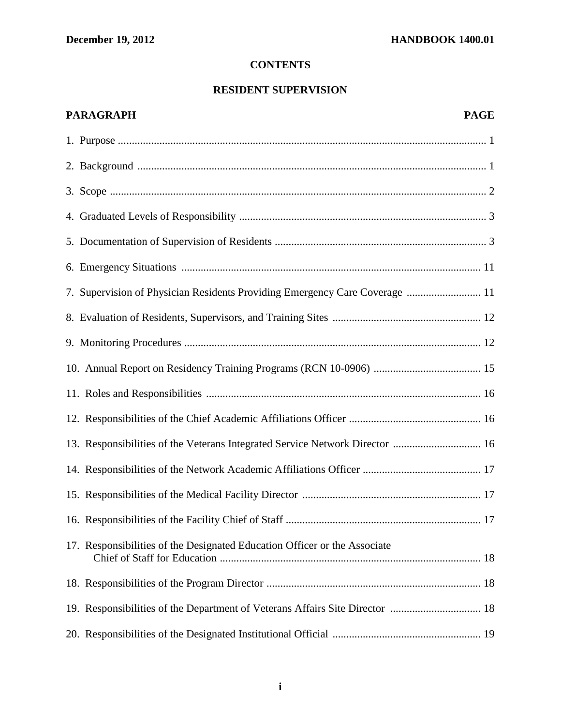# **CONTENTS**

# **RESIDENT SUPERVISION**

# **PARAGRAPH PAGE**

| 7. Supervision of Physician Residents Providing Emergency Care Coverage  11  |
|------------------------------------------------------------------------------|
|                                                                              |
|                                                                              |
|                                                                              |
|                                                                              |
|                                                                              |
| 13. Responsibilities of the Veterans Integrated Service Network Director  16 |
|                                                                              |
|                                                                              |
|                                                                              |
| 17. Responsibilities of the Designated Education Officer or the Associate    |
|                                                                              |
|                                                                              |
|                                                                              |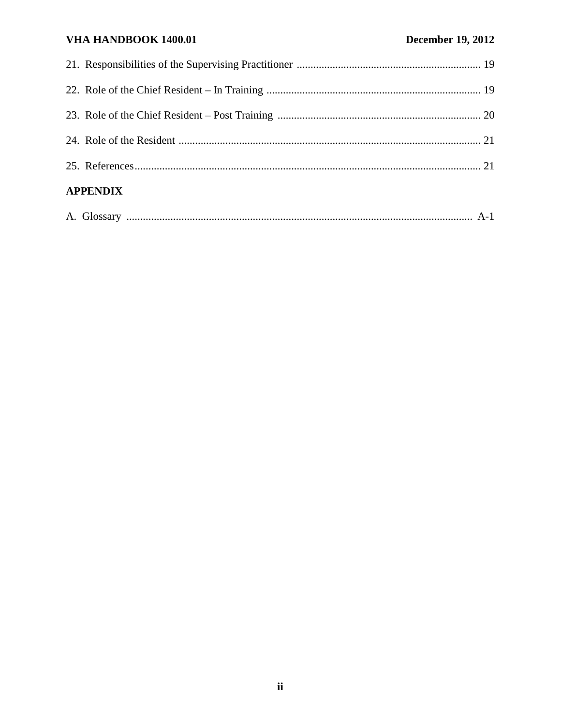# VHA HANDBOOK 1400.01

| <b>APPENDIX</b> |  |  |
|-----------------|--|--|
|                 |  |  |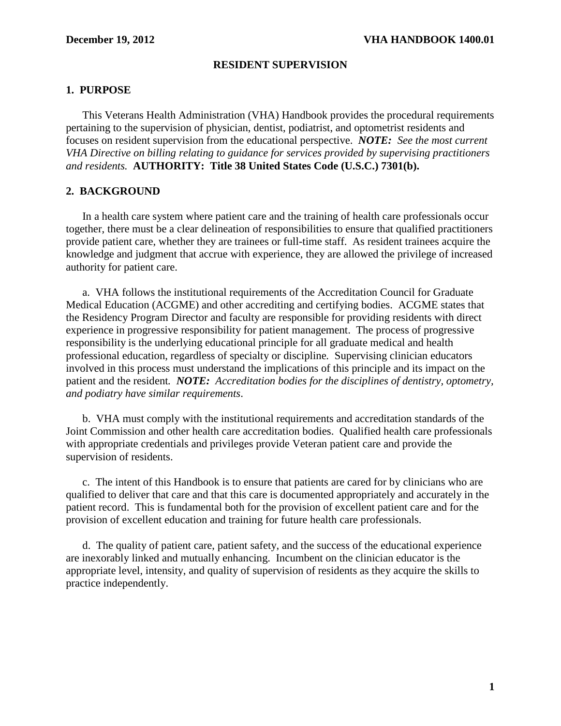## **RESIDENT SUPERVISION**

## <span id="page-3-0"></span>**1. PURPOSE**

 This Veterans Health Administration (VHA) Handbook provides the procedural requirements pertaining to the supervision of physician, dentist, podiatrist, and optometrist residents and focuses on resident supervision from the educational perspective. *NOTE: See the most current VHA Directive on billing relating to guidance for services provided by supervising practitioners and residents.* **AUTHORITY: Title 38 United States Code (U.S.C.) 7301(b).**

## **2. BACKGROUND**

In a health care system where patient care and the training of health care professionals occur together, there must be a clear delineation of responsibilities to ensure that qualified practitioners provide patient care, whether they are trainees or full-time staff. As resident trainees acquire the knowledge and judgment that accrue with experience, they are allowed the privilege of increased authority for patient care.

a. VHA follows the institutional requirements of the Accreditation Council for Graduate Medical Education (ACGME) and other accrediting and certifying bodies. ACGME states that the Residency Program Director and faculty are responsible for providing residents with direct experience in progressive responsibility for patient management. The process of progressive responsibility is the underlying educational principle for all graduate medical and health professional education, regardless of specialty or discipline*.* Supervising clinician educators involved in this process must understand the implications of this principle and its impact on the patient and the resident*. NOTE: Accreditation bodies for the disciplines of dentistry, optometry, and podiatry have similar requirements*.

 b. VHA must comply with the institutional requirements and accreditation standards of the Joint Commission and other health care accreditation bodies. Qualified health care professionals with appropriate credentials and privileges provide Veteran patient care and provide the supervision of residents.

 c. The intent of this Handbook is to ensure that patients are cared for by clinicians who are qualified to deliver that care and that this care is documented appropriately and accurately in the patient record. This is fundamental both for the provision of excellent patient care and for the provision of excellent education and training for future health care professionals.

d. The quality of patient care, patient safety, and the success of the educational experience are inexorably linked and mutually enhancing. Incumbent on the clinician educator is the appropriate level, intensity, and quality of supervision of residents as they acquire the skills to practice independently.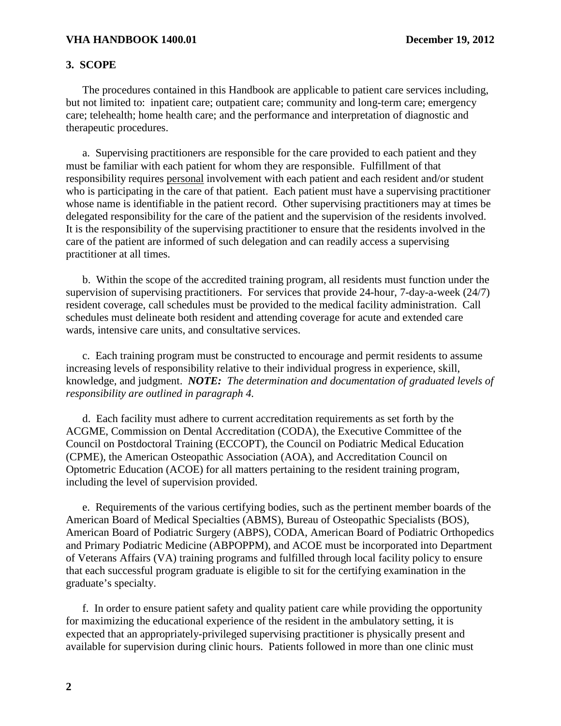### <span id="page-4-0"></span>**3. SCOPE**

 The procedures contained in this Handbook are applicable to patient care services including, but not limited to: inpatient care; outpatient care; community and long-term care; emergency care; telehealth; home health care; and the performance and interpretation of diagnostic and therapeutic procedures.

 a. Supervising practitioners are responsible for the care provided to each patient and they must be familiar with each patient for whom they are responsible. Fulfillment of that responsibility requires personal involvement with each patient and each resident and/or student who is participating in the care of that patient. Each patient must have a supervising practitioner whose name is identifiable in the patient record. Other supervising practitioners may at times be delegated responsibility for the care of the patient and the supervision of the residents involved. It is the responsibility of the supervising practitioner to ensure that the residents involved in the care of the patient are informed of such delegation and can readily access a supervising practitioner at all times.

 b. Within the scope of the accredited training program, all residents must function under the supervision of supervising practitioners. For services that provide 24-hour, 7-day-a-week (24/7) resident coverage, call schedules must be provided to the medical facility administration. Call schedules must delineate both resident and attending coverage for acute and extended care wards, intensive care units, and consultative services.

c. Each training program must be constructed to encourage and permit residents to assume increasing levels of responsibility relative to their individual progress in experience, skill, knowledge, and judgment. *NOTE: The determination and documentation of graduated levels of responsibility are outlined in paragraph 4.*

d. Each facility must adhere to current accreditation requirements as set forth by the ACGME, Commission on Dental Accreditation (CODA), the Executive Committee of the Council on Postdoctoral Training (ECCOPT), the Council on Podiatric Medical Education (CPME), the American Osteopathic Association (AOA), and Accreditation Council on Optometric Education (ACOE) for all matters pertaining to the resident training program, including the level of supervision provided.

e.Requirements of the various certifying bodies, such as the pertinent member boards of the American Board of Medical Specialties (ABMS), Bureau of Osteopathic Specialists (BOS), American Board of Podiatric Surgery (ABPS), CODA, American Board of Podiatric Orthopedics and Primary Podiatric Medicine (ABPOPPM), and ACOE must be incorporated into Department of Veterans Affairs (VA) training programs and fulfilled through local facility policy to ensure that each successful program graduate is eligible to sit for the certifying examination in the graduate's specialty.

 f. In order to ensure patient safety and quality patient care while providing the opportunity for maximizing the educational experience of the resident in the ambulatory setting, it is expected that an appropriately-privileged supervising practitioner is physically present and available for supervision during clinic hours. Patients followed in more than one clinic must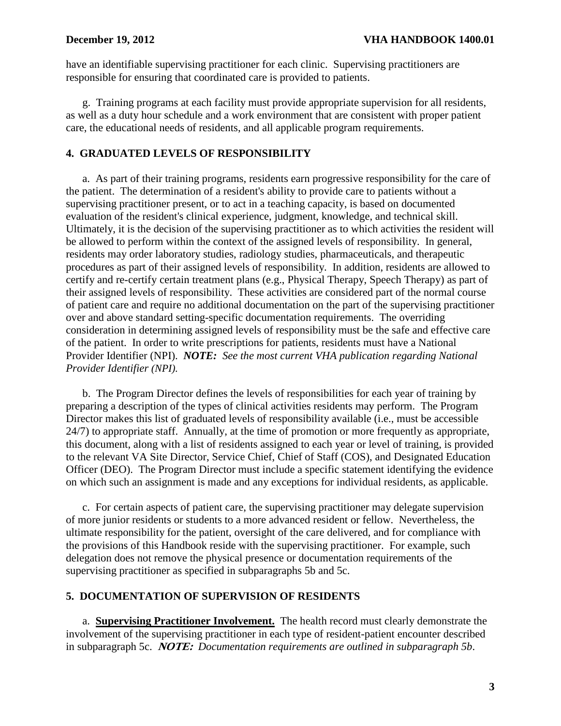<span id="page-5-0"></span>have an identifiable supervising practitioner for each clinic. Supervising practitioners are responsible for ensuring that coordinated care is provided to patients.

g. Training programs at each facility must provide appropriate supervision for all residents, as well as a duty hour schedule and a work environment that are consistent with proper patient care, the educational needs of residents, and all applicable program requirements.

## **4. GRADUATED LEVELS OF RESPONSIBILITY**

a. As part of their training programs, residents earn progressive responsibility for the care of the patient. The determination of a resident's ability to provide care to patients without a supervising practitioner present, or to act in a teaching capacity, is based on documented evaluation of the resident's clinical experience, judgment, knowledge, and technical skill. Ultimately, it is the decision of the supervising practitioner as to which activities the resident will be allowed to perform within the context of the assigned levels of responsibility. In general, residents may order laboratory studies, radiology studies, pharmaceuticals, and therapeutic procedures as part of their assigned levels of responsibility. In addition, residents are allowed to certify and re-certify certain treatment plans (e.g., Physical Therapy, Speech Therapy) as part of their assigned levels of responsibility. These activities are considered part of the normal course of patient care and require no additional documentation on the part of the supervising practitioner over and above standard setting-specific documentation requirements. The overriding consideration in determining assigned levels of responsibility must be the safe and effective care of the patient. In order to write prescriptions for patients, residents must have a National Provider Identifier (NPI). *NOTE: See the most current VHA publication regarding National Provider Identifier (NPI).*

 b. The Program Director defines the levels of responsibilities for each year of training by preparing a description of the types of clinical activities residents may perform. The Program Director makes this list of graduated levels of responsibility available (i.e., must be accessible 24/7) to appropriate staff. Annually, at the time of promotion or more frequently as appropriate, this document, along with a list of residents assigned to each year or level of training, is provided to the relevant VA Site Director, Service Chief, Chief of Staff (COS), and Designated Education Officer (DEO). The Program Director must include a specific statement identifying the evidence on which such an assignment is made and any exceptions for individual residents, as applicable.

c. For certain aspects of patient care, the supervising practitioner may delegate supervision of more junior residents or students to a more advanced resident or fellow. Nevertheless, the ultimate responsibility for the patient, oversight of the care delivered, and for compliance with the provisions of this Handbook reside with the supervising practitioner. For example, such delegation does not remove the physical presence or documentation requirements of the supervising practitioner as specified in subparagraphs 5b and 5c.

# **5. DOCUMENTATION OF SUPERVISION OF RESIDENTS**

a. **Supervising Practitioner Involvement.** The health record must clearly demonstrate the involvement of the supervising practitioner in each type of resident-patient encounter described in subparagraph 5c. **NOTE:** *Documentation requirements are outlined in subpar*a*graph 5b*.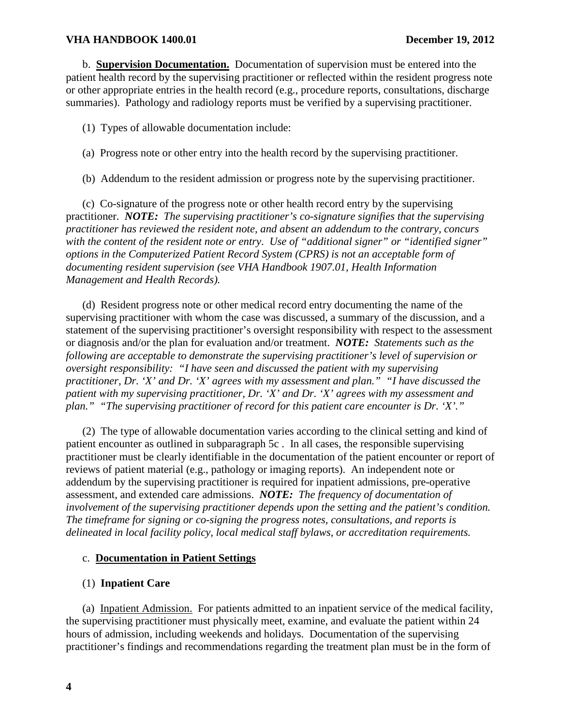b. **Supervision Documentation.** Documentation of supervision must be entered into the patient health record by the supervising practitioner or reflected within the resident progress note or other appropriate entries in the health record (e.g., procedure reports, consultations, discharge summaries). Pathology and radiology reports must be verified by a supervising practitioner.

(1) Types of allowable documentation include:

- (a) Progress note or other entry into the health record by the supervising practitioner.
- (b) Addendum to the resident admission or progress note by the supervising practitioner.

(c) Co-signature of the progress note or other health record entry by the supervising practitioner. *NOTE: The supervising practitioner's co-signature signifies that the supervising practitioner has reviewed the resident note, and absent an addendum to the contrary, concurs with the content of the resident note or entry*. *Use of "additional signer" or "identified signer" options in the Computerized Patient Record System (CPRS) is not an acceptable form of documenting resident supervision (see VHA Handbook 1907.01, Health Information Management and Health Records).* 

 (d) Resident progress note or other medical record entry documenting the name of the supervising practitioner with whom the case was discussed, a summary of the discussion, and a statement of the supervising practitioner's oversight responsibility with respect to the assessment or diagnosis and/or the plan for evaluation and/or treatment. *NOTE: Statements such as the following are acceptable to demonstrate the supervising practitioner's level of supervision or oversight responsibility: "I have seen and discussed the patient with my supervising practitioner, Dr. 'X' and Dr. 'X' agrees with my assessment and plan." "I have discussed the patient with my supervising practitioner, Dr. 'X' and Dr. 'X' agrees with my assessment and plan." "The supervising practitioner of record for this patient care encounter is Dr. 'X'."* 

 (2) The type of allowable documentation varies according to the clinical setting and kind of patient encounter as outlined in subparagraph 5c . In all cases, the responsible supervising practitioner must be clearly identifiable in the documentation of the patient encounter or report of reviews of patient material (e.g., pathology or imaging reports). An independent note or addendum by the supervising practitioner is required for inpatient admissions, pre-operative assessment, and extended care admissions. *NOTE: The frequency of documentation of involvement of the supervising practitioner depends upon the setting and the patient's condition. The timeframe for signing or co-signing the progress notes, consultations, and reports is delineated in local facility policy, local medical staff bylaws, or accreditation requirements.* 

# c. **Documentation in Patient Settings**

## (1) **Inpatient Care**

(a) Inpatient Admission. For patients admitted to an inpatient service of the medical facility, the supervising practitioner must physically meet, examine, and evaluate the patient within 24 hours of admission, including weekends and holidays. Documentation of the supervising practitioner's findings and recommendations regarding the treatment plan must be in the form of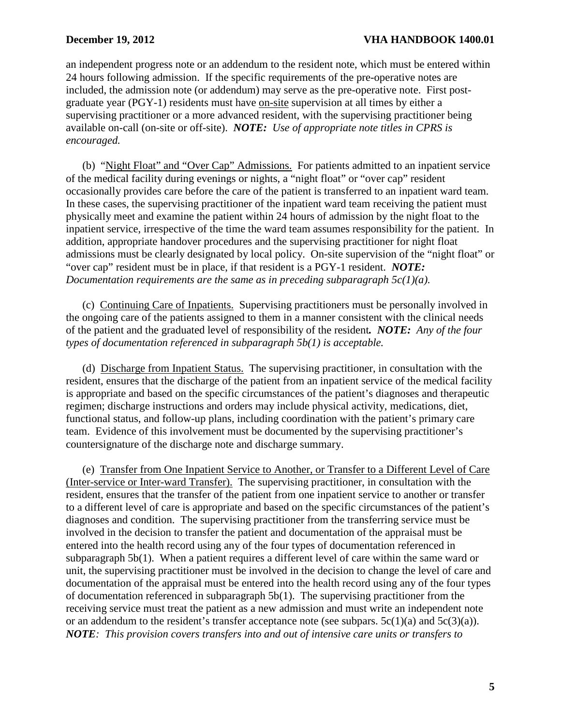an independent progress note or an addendum to the resident note, which must be entered within 24 hours following admission. If the specific requirements of the pre-operative notes are included, the admission note (or addendum) may serve as the pre-operative note. First postgraduate year (PGY-1) residents must have on-site supervision at all times by either a supervising practitioner or a more advanced resident, with the supervising practitioner being available on-call (on-site or off-site). *NOTE: Use of appropriate note titles in CPRS is encouraged.*

(b) "Night Float" and "Over Cap" Admissions. For patients admitted to an inpatient service of the medical facility during evenings or nights, a "night float" or "over cap" resident occasionally provides care before the care of the patient is transferred to an inpatient ward team. In these cases, the supervising practitioner of the inpatient ward team receiving the patient must physically meet and examine the patient within 24 hours of admission by the night float to the inpatient service, irrespective of the time the ward team assumes responsibility for the patient. In addition, appropriate handover procedures and the supervising practitioner for night float admissions must be clearly designated by local policy. On-site supervision of the "night float" or "over cap" resident must be in place, if that resident is a PGY-1 resident. *NOTE: Documentation requirements are the same as in preceding subparagraph 5c(1)(a).* 

(c) Continuing Care of Inpatients. Supervising practitioners must be personally involved in the ongoing care of the patients assigned to them in a manner consistent with the clinical needs of the patient and the graduated level of responsibility of the resident*. NOTE: Any of the four types of documentation referenced in subparagraph 5b(1) is acceptable.*

(d) Discharge from Inpatient Status. The supervising practitioner, in consultation with the resident, ensures that the discharge of the patient from an inpatient service of the medical facility is appropriate and based on the specific circumstances of the patient's diagnoses and therapeutic regimen; discharge instructions and orders may include physical activity, medications, diet, functional status, and follow-up plans, including coordination with the patient's primary care team. Evidence of this involvement must be documented by the supervising practitioner's countersignature of the discharge note and discharge summary.

(e) Transfer from One Inpatient Service to Another, or Transfer to a Different Level of Care (Inter-service or Inter-ward Transfer). The supervising practitioner, in consultation with the resident, ensures that the transfer of the patient from one inpatient service to another or transfer to a different level of care is appropriate and based on the specific circumstances of the patient's diagnoses and condition. The supervising practitioner from the transferring service must be involved in the decision to transfer the patient and documentation of the appraisal must be entered into the health record using any of the four types of documentation referenced in subparagraph 5b(1). When a patient requires a different level of care within the same ward or unit, the supervising practitioner must be involved in the decision to change the level of care and documentation of the appraisal must be entered into the health record using any of the four types of documentation referenced in subparagraph 5b(1). The supervising practitioner from the receiving service must treat the patient as a new admission and must write an independent note or an addendum to the resident's transfer acceptance note (see subpars.  $5c(1)(a)$  and  $5c(3)(a)$ ). *NOTE: This provision covers transfers into and out of intensive care units or transfers to*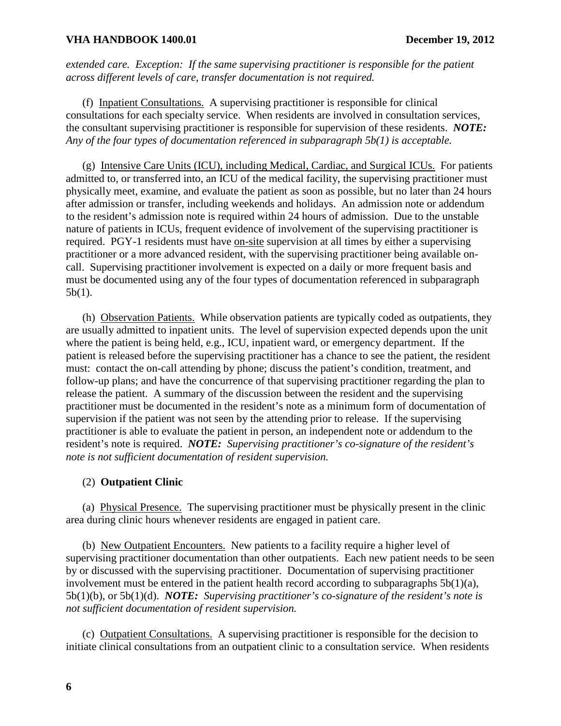*extended care. Exception: If the same supervising practitioner is responsible for the patient across different levels of care, transfer documentation is not required.* 

(f) Inpatient Consultations. A supervising practitioner is responsible for clinical consultations for each specialty service. When residents are involved in consultation services, the consultant supervising practitioner is responsible for supervision of these residents. *NOTE: Any of the four types of documentation referenced in subparagraph 5b(1) is acceptable.*

(g) Intensive Care Units (ICU), including Medical, Cardiac, and Surgical ICUs. For patients admitted to, or transferred into, an ICU of the medical facility, the supervising practitioner must physically meet, examine, and evaluate the patient as soon as possible, but no later than 24 hours after admission or transfer, including weekends and holidays. An admission note or addendum to the resident's admission note is required within 24 hours of admission. Due to the unstable nature of patients in ICUs, frequent evidence of involvement of the supervising practitioner is required. PGY-1 residents must have on-site supervision at all times by either a supervising practitioner or a more advanced resident, with the supervising practitioner being available oncall. Supervising practitioner involvement is expected on a daily or more frequent basis and must be documented using any of the four types of documentation referenced in subparagraph 5b(1).

 (h) Observation Patients. While observation patients are typically coded as outpatients, they are usually admitted to inpatient units. The level of supervision expected depends upon the unit where the patient is being held, e.g., ICU, inpatient ward, or emergency department. If the patient is released before the supervising practitioner has a chance to see the patient, the resident must: contact the on-call attending by phone; discuss the patient's condition, treatment, and follow-up plans; and have the concurrence of that supervising practitioner regarding the plan to release the patient. A summary of the discussion between the resident and the supervising practitioner must be documented in the resident's note as a minimum form of documentation of supervision if the patient was not seen by the attending prior to release. If the supervising practitioner is able to evaluate the patient in person, an independent note or addendum to the resident's note is required. *NOTE: Supervising practitioner's co-signature of the resident's note is not sufficient documentation of resident supervision.* 

## (2) **Outpatient Clinic**

(a) Physical Presence. The supervising practitioner must be physically present in the clinic area during clinic hours whenever residents are engaged in patient care.

(b) New Outpatient Encounters. New patients to a facility require a higher level of supervising practitioner documentation than other outpatients. Each new patient needs to be seen by or discussed with the supervising practitioner. Documentation of supervising practitioner involvement must be entered in the patient health record according to subparagraphs  $5b(1)(a)$ , 5b(1)(b), or 5b(1)(d). *NOTE: Supervising practitioner's co-signature of the resident's note is not sufficient documentation of resident supervision.* 

(c) Outpatient Consultations. A supervising practitioner is responsible for the decision to initiate clinical consultations from an outpatient clinic to a consultation service. When residents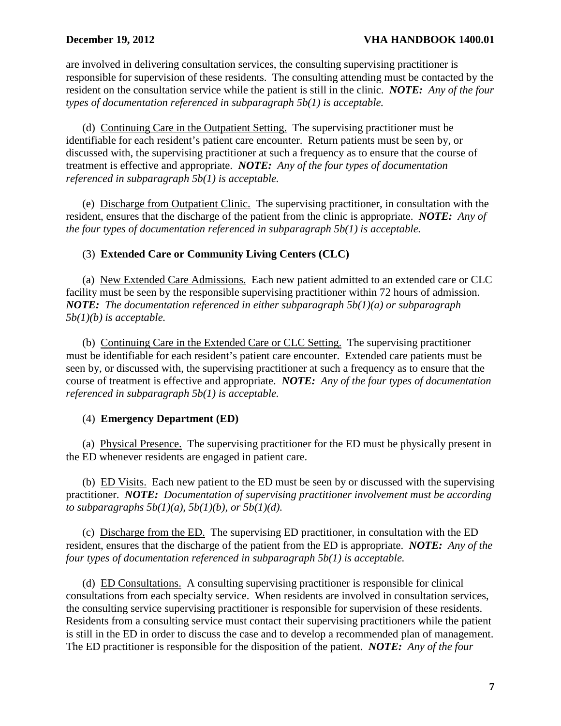are involved in delivering consultation services, the consulting supervising practitioner is responsible for supervision of these residents. The consulting attending must be contacted by the resident on the consultation service while the patient is still in the clinic. *NOTE: Any of the four types of documentation referenced in subparagraph 5b(1) is acceptable.* 

(d) Continuing Care in the Outpatient Setting. The supervising practitioner must be identifiable for each resident's patient care encounter. Return patients must be seen by, or discussed with, the supervising practitioner at such a frequency as to ensure that the course of treatment is effective and appropriate. *NOTE: Any of the four types of documentation referenced in subparagraph 5b(1) is acceptable.* 

(e) Discharge from Outpatient Clinic. The supervising practitioner, in consultation with the resident, ensures that the discharge of the patient from the clinic is appropriate. *NOTE: Any of the four types of documentation referenced in subparagraph 5b(1) is acceptable.*

# (3) **Extended Care or Community Living Centers (CLC)**

(a) New Extended Care Admissions. Each new patient admitted to an extended care or CLC facility must be seen by the responsible supervising practitioner within 72 hours of admission. *NOTE: The documentation referenced in either subparagraph 5b(1)(a) or subparagraph 5b(1)(b) is acceptable.*

(b) Continuing Care in the Extended Care or CLC Setting. The supervising practitioner must be identifiable for each resident's patient care encounter. Extended care patients must be seen by, or discussed with, the supervising practitioner at such a frequency as to ensure that the course of treatment is effective and appropriate. *NOTE: Any of the four types of documentation referenced in subparagraph 5b(1) is acceptable.*

# (4) **Emergency Department (ED)**

(a) Physical Presence. The supervising practitioner for the ED must be physically present in the ED whenever residents are engaged in patient care.

(b) ED Visits. Each new patient to the ED must be seen by or discussed with the supervising practitioner. *NOTE: Documentation of supervising practitioner involvement must be according to subparagraphs 5b(1)(a), 5b(1)(b), or 5b(1)(d).*

(c) Discharge from the ED. The supervising ED practitioner, in consultation with the ED resident, ensures that the discharge of the patient from the ED is appropriate. *NOTE: Any of the four types of documentation referenced in subparagraph 5b(1) is acceptable.*

(d) ED Consultations. A consulting supervising practitioner is responsible for clinical consultations from each specialty service. When residents are involved in consultation services, the consulting service supervising practitioner is responsible for supervision of these residents. Residents from a consulting service must contact their supervising practitioners while the patient is still in the ED in order to discuss the case and to develop a recommended plan of management. The ED practitioner is responsible for the disposition of the patient. *NOTE: Any of the four*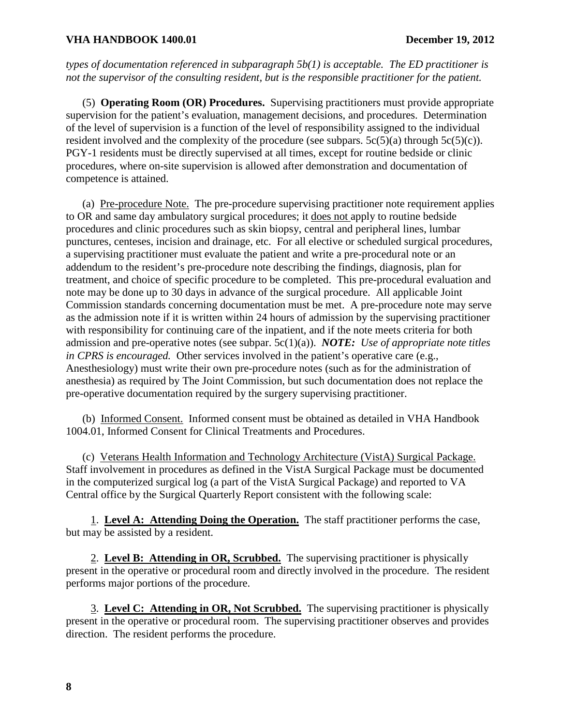*types of documentation referenced in subparagraph 5b(1) is acceptable. The ED practitioner is not the supervisor of the consulting resident, but is the responsible practitioner for the patient.* 

(5) **Operating Room (OR) Procedures.** Supervising practitioners must provide appropriate supervision for the patient's evaluation, management decisions, and procedures. Determination of the level of supervision is a function of the level of responsibility assigned to the individual resident involved and the complexity of the procedure (see subpars.  $5c(5)(a)$  through  $5c(5)(c)$ ). PGY-1 residents must be directly supervised at all times, except for routine bedside or clinic procedures, where on-site supervision is allowed after demonstration and documentation of competence is attained.

(a) Pre-procedure Note. The pre-procedure supervising practitioner note requirement applies to OR and same day ambulatory surgical procedures; it does not apply to routine bedside procedures and clinic procedures such as skin biopsy, central and peripheral lines, lumbar punctures, centeses, incision and drainage, etc. For all elective or scheduled surgical procedures, a supervising practitioner must evaluate the patient and write a pre-procedural note or an addendum to the resident's pre-procedure note describing the findings, diagnosis, plan for treatment, and choice of specific procedure to be completed. This pre-procedural evaluation and note may be done up to 30 days in advance of the surgical procedure. All applicable Joint Commission standards concerning documentation must be met. A pre-procedure note may serve as the admission note if it is written within 24 hours of admission by the supervising practitioner with responsibility for continuing care of the inpatient, and if the note meets criteria for both admission and pre-operative notes (see subpar. 5c(1)(a)). *NOTE: Use of appropriate note titles in CPRS is encouraged.* Other services involved in the patient's operative care (e.g., Anesthesiology) must write their own pre-procedure notes (such as for the administration of anesthesia) as required by The Joint Commission, but such documentation does not replace the pre-operative documentation required by the surgery supervising practitioner.

(b) Informed Consent. Informed consent must be obtained as detailed in VHA Handbook 1004.01, Informed Consent for Clinical Treatments and Procedures.

(c) Veterans Health Information and Technology Architecture (VistA) Surgical Package. Staff involvement in procedures as defined in the VistA Surgical Package must be documented in the computerized surgical log (a part of the VistA Surgical Package) and reported to VA Central office by the Surgical Quarterly Report consistent with the following scale:

 1. **Level A: Attending Doing the Operation.** The staff practitioner performs the case, but may be assisted by a resident.

 2. **Level B: Attending in OR, Scrubbed.** The supervising practitioner is physically present in the operative or procedural room and directly involved in the procedure. The resident performs major portions of the procedure.

 3. **Level C: Attending in OR, Not Scrubbed.** The supervising practitioner is physically present in the operative or procedural room. The supervising practitioner observes and provides direction. The resident performs the procedure.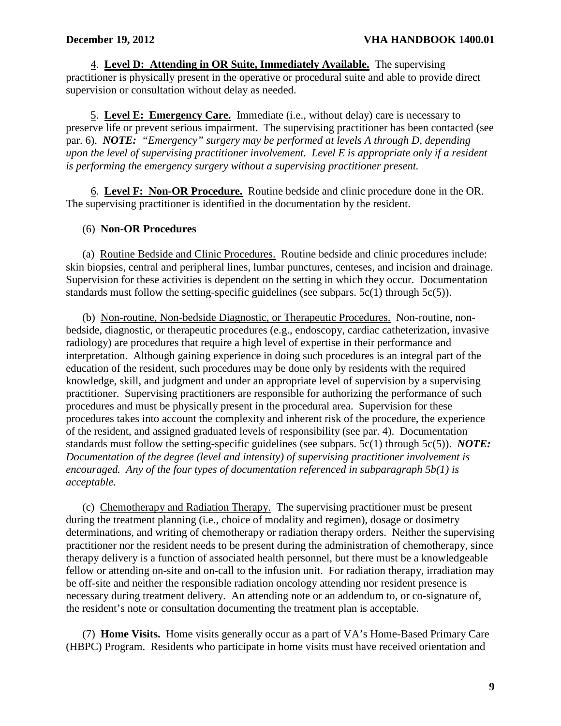4. **Level D: Attending in OR Suite, Immediately Available.** The supervising practitioner is physically present in the operative or procedural suite and able to provide direct supervision or consultation without delay as needed.

 5. **Level E: Emergency Care.** Immediate (i.e., without delay) care is necessary to preserve life or prevent serious impairment. The supervising practitioner has been contacted (see par. 6). *NOTE: "Emergency" surgery may be performed at levels A through D, depending upon the level of supervising practitioner involvement. Level E is appropriate only if a resident is performing the emergency surgery without a supervising practitioner present.* 

 6. **Level F: Non-OR Procedure.** Routine bedside and clinic procedure done in the OR. The supervising practitioner is identified in the documentation by the resident.

# (6) **Non-OR Procedures**

(a) Routine Bedside and Clinic Procedures. Routine bedside and clinic procedures include: skin biopsies, central and peripheral lines, lumbar punctures, centeses, and incision and drainage. Supervision for these activities is dependent on the setting in which they occur. Documentation standards must follow the setting-specific guidelines (see subpars.  $5c(1)$  through  $5c(5)$ ).

(b) Non-routine, Non-bedside Diagnostic, or Therapeutic Procedures. Non-routine, nonbedside, diagnostic, or therapeutic procedures (e.g., endoscopy, cardiac catheterization, invasive radiology) are procedures that require a high level of expertise in their performance and interpretation. Although gaining experience in doing such procedures is an integral part of the education of the resident, such procedures may be done only by residents with the required knowledge, skill, and judgment and under an appropriate level of supervision by a supervising practitioner. Supervising practitioners are responsible for authorizing the performance of such procedures and must be physically present in the procedural area. Supervision for these procedures takes into account the complexity and inherent risk of the procedure, the experience of the resident, and assigned graduated levels of responsibility (see par. 4). Documentation standards must follow the setting-specific guidelines (see subpars. 5c(1) through 5c(5)). *NOTE: Documentation of the degree (level and intensity) of supervising practitioner involvement is encouraged. Any of the four types of documentation referenced in subparagraph 5b(1) is acceptable.* 

(c) Chemotherapy and Radiation Therapy. The supervising practitioner must be present during the treatment planning (i.e., choice of modality and regimen), dosage or dosimetry determinations, and writing of chemotherapy or radiation therapy orders. Neither the supervising practitioner nor the resident needs to be present during the administration of chemotherapy, since therapy delivery is a function of associated health personnel, but there must be a knowledgeable fellow or attending on-site and on-call to the infusion unit. For radiation therapy, irradiation may be off-site and neither the responsible radiation oncology attending nor resident presence is necessary during treatment delivery. An attending note or an addendum to, or co-signature of, the resident's note or consultation documenting the treatment plan is acceptable.

(7) **Home Visits.** Home visits generally occur as a part of VA's Home-Based Primary Care (HBPC) Program. Residents who participate in home visits must have received orientation and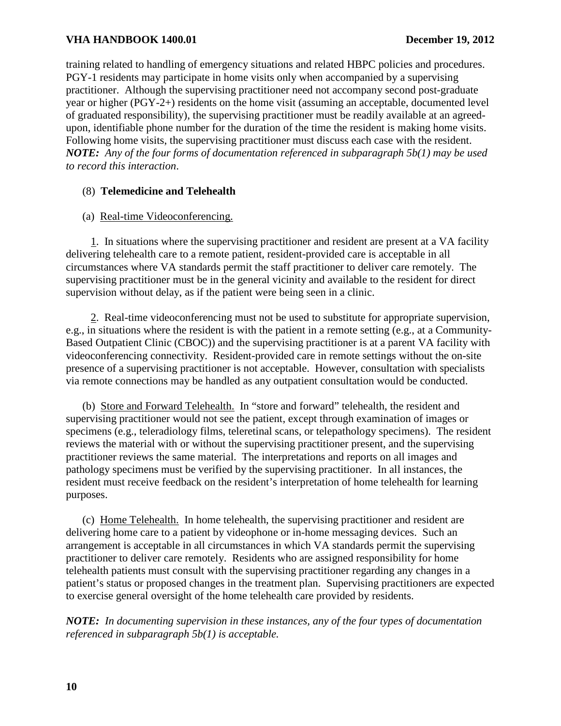training related to handling of emergency situations and related HBPC policies and procedures. PGY-1 residents may participate in home visits only when accompanied by a supervising practitioner. Although the supervising practitioner need not accompany second post-graduate year or higher (PGY-2+) residents on the home visit (assuming an acceptable, documented level of graduated responsibility), the supervising practitioner must be readily available at an agreedupon, identifiable phone number for the duration of the time the resident is making home visits. Following home visits, the supervising practitioner must discuss each case with the resident. *NOTE: Any of the four forms of documentation referenced in subparagraph 5b(1) may be used to record this interaction*.

# (8) **Telemedicine and Telehealth**

# (a) Real-time Videoconferencing.

 1. In situations where the supervising practitioner and resident are present at a VA facility delivering telehealth care to a remote patient, resident-provided care is acceptable in all circumstances where VA standards permit the staff practitioner to deliver care remotely. The supervising practitioner must be in the general vicinity and available to the resident for direct supervision without delay, as if the patient were being seen in a clinic.

 2. Real-time videoconferencing must not be used to substitute for appropriate supervision, e.g., in situations where the resident is with the patient in a remote setting (e.g., at a Community-Based Outpatient Clinic (CBOC)) and the supervising practitioner is at a parent VA facility with videoconferencing connectivity. Resident-provided care in remote settings without the on-site presence of a supervising practitioner is not acceptable. However, consultation with specialists via remote connections may be handled as any outpatient consultation would be conducted.

(b) Store and Forward Telehealth. In "store and forward" telehealth, the resident and supervising practitioner would not see the patient, except through examination of images or specimens (e.g., teleradiology films, teleretinal scans, or telepathology specimens). The resident reviews the material with or without the supervising practitioner present, and the supervising practitioner reviews the same material. The interpretations and reports on all images and pathology specimens must be verified by the supervising practitioner. In all instances, the resident must receive feedback on the resident's interpretation of home telehealth for learning purposes.

(c) Home Telehealth.In home telehealth, the supervising practitioner and resident are delivering home care to a patient by videophone or in-home messaging devices. Such an arrangement is acceptable in all circumstances in which VA standards permit the supervising practitioner to deliver care remotely. Residents who are assigned responsibility for home telehealth patients must consult with the supervising practitioner regarding any changes in a patient's status or proposed changes in the treatment plan. Supervising practitioners are expected to exercise general oversight of the home telehealth care provided by residents.

*NOTE: In documenting supervision in these instances, any of the four types of documentation referenced in subparagraph 5b(1) is acceptable.*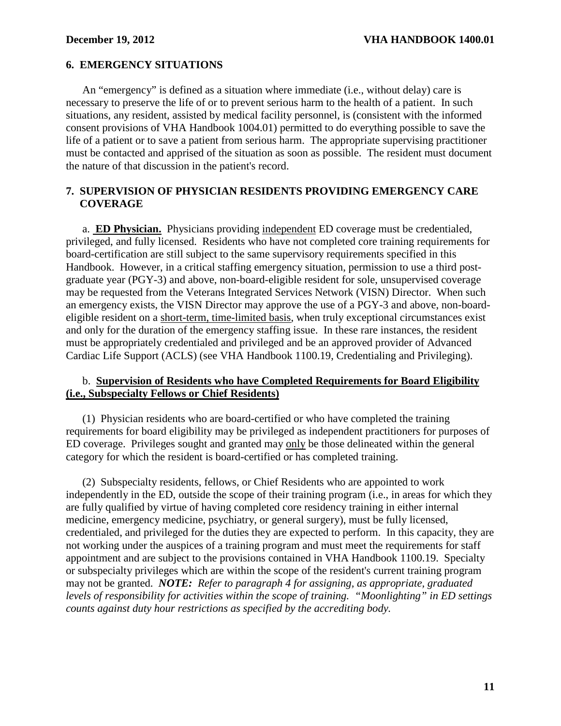# <span id="page-13-0"></span>**6. EMERGENCY SITUATIONS**

An "emergency" is defined as a situation where immediate (i.e., without delay) care is necessary to preserve the life of or to prevent serious harm to the health of a patient. In such situations, any resident, assisted by medical facility personnel, is (consistent with the informed consent provisions of VHA Handbook 1004.01) permitted to do everything possible to save the life of a patient or to save a patient from serious harm. The appropriate supervising practitioner must be contacted and apprised of the situation as soon as possible. The resident must document the nature of that discussion in the patient's record.

# **7. SUPERVISION OF PHYSICIAN RESIDENTS PROVIDING EMERGENCY CARE COVERAGE**

a. **ED Physician.** Physicians providing independent ED coverage must be credentialed, privileged, and fully licensed. Residents who have not completed core training requirements for board-certification are still subject to the same supervisory requirements specified in this Handbook. However, in a critical staffing emergency situation, permission to use a third postgraduate year (PGY-3) and above, non-board-eligible resident for sole, unsupervised coverage may be requested from the Veterans Integrated Services Network (VISN) Director. When such an emergency exists, the VISN Director may approve the use of a PGY-3 and above, non-boardeligible resident on a short-term, time-limited basis, when truly exceptional circumstances exist and only for the duration of the emergency staffing issue. In these rare instances, the resident must be appropriately credentialed and privileged and be an approved provider of Advanced Cardiac Life Support (ACLS) (see VHA Handbook 1100.19, Credentialing and Privileging).

## b. **Supervision of Residents who have Completed Requirements for Board Eligibility (i.e., Subspecialty Fellows or Chief Residents)**

(1) Physician residents who are board-certified or who have completed the training requirements for board eligibility may be privileged as independent practitioners for purposes of ED coverage. Privileges sought and granted may only be those delineated within the general category for which the resident is board-certified or has completed training.

(2) Subspecialty residents, fellows, or Chief Residents who are appointed to work independently in the ED, outside the scope of their training program (i.e., in areas for which they are fully qualified by virtue of having completed core residency training in either internal medicine, emergency medicine, psychiatry, or general surgery), must be fully licensed, credentialed, and privileged for the duties they are expected to perform. In this capacity, they are not working under the auspices of a training program and must meet the requirements for staff appointment and are subject to the provisions contained in VHA Handbook 1100.19. Specialty or subspecialty privileges which are within the scope of the resident's current training program may not be granted. *NOTE: Refer to paragraph 4 for assigning, as appropriate, graduated levels of responsibility for activities within the scope of training. "Moonlighting" in ED settings counts against duty hour restrictions as specified by the accrediting body.*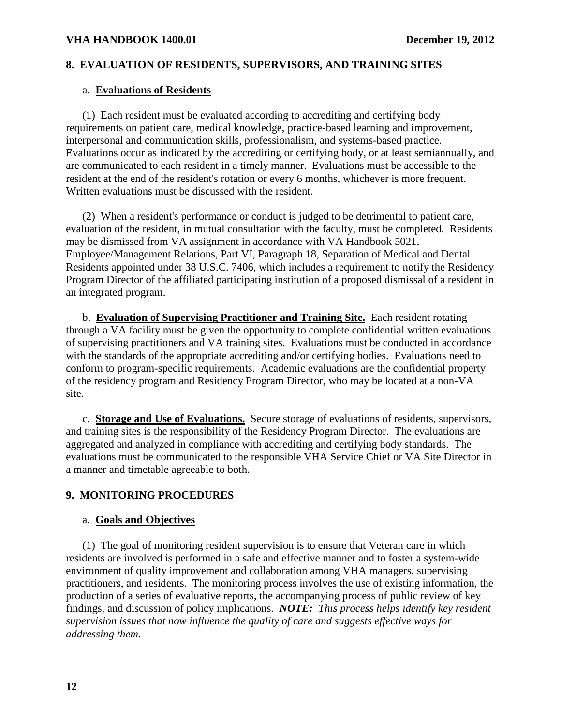# <span id="page-14-0"></span>**8. EVALUATION OF RESIDENTS, SUPERVISORS, AND TRAINING SITES**

## a. **Evaluations of Residents**

(1) Each resident must be evaluated according to accrediting and certifying body requirements on patient care, medical knowledge, practice-based learning and improvement, interpersonal and communication skills, professionalism, and systems-based practice. Evaluations occur as indicated by the accrediting or certifying body, or at least semiannually, and are communicated to each resident in a timely manner. Evaluations must be accessible to the resident at the end of the resident's rotation or every 6 months, whichever is more frequent. Written evaluations must be discussed with the resident.

 (2) When a resident's performance or conduct is judged to be detrimental to patient care, evaluation of the resident, in mutual consultation with the faculty, must be completed. Residents may be dismissed from VA assignment in accordance with VA Handbook 5021, Employee/Management Relations, Part VI, Paragraph 18, Separation of Medical and Dental Residents appointed under 38 U.S.C. 7406, which includes a requirement to notify the Residency Program Director of the affiliated participating institution of a proposed dismissal of a resident in an integrated program.

 b. **Evaluation of Supervising Practitioner and Training Site.** Each resident rotating through a VA facility must be given the opportunity to complete confidential written evaluations of supervising practitioners and VA training sites. Evaluations must be conducted in accordance with the standards of the appropriate accrediting and/or certifying bodies. Evaluations need to conform to program-specific requirements. Academic evaluations are the confidential property of the residency program and Residency Program Director, who may be located at a non-VA site.

c. **Storage and Use of Evaluations.** Secure storage of evaluations of residents, supervisors, and training sites is the responsibility of the Residency Program Director. The evaluations are aggregated and analyzed in compliance with accrediting and certifying body standards. The evaluations must be communicated to the responsible VHA Service Chief or VA Site Director in a manner and timetable agreeable to both.

# **9. MONITORING PROCEDURES**

## a. **Goals and Objectives**

 (1) The goal of monitoring resident supervision is to ensure that Veteran care in which residents are involved is performed in a safe and effective manner and to foster a system-wide environment of quality improvement and collaboration among VHA managers, supervising practitioners, and residents. The monitoring process involves the use of existing information, the production of a series of evaluative reports, the accompanying process of public review of key findings, and discussion of policy implications. *NOTE: This process helps identify key resident supervision issues that now influence the quality of care and suggests effective ways for addressing them.*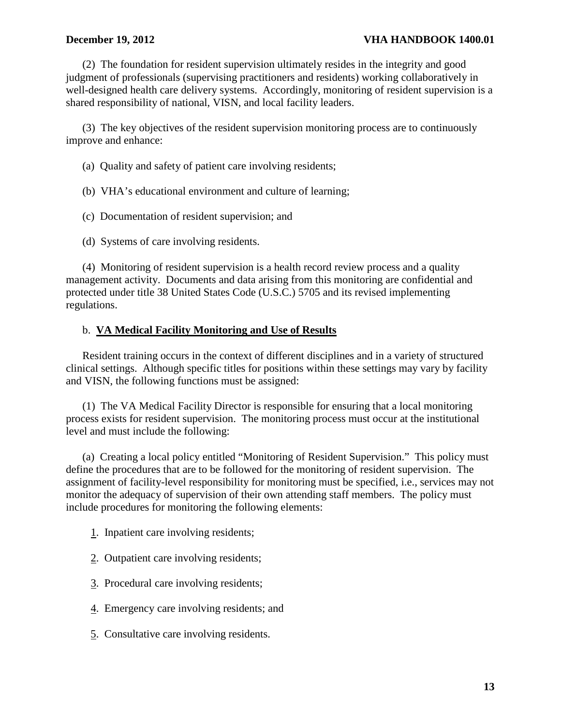## **December 19, 2012** VHA HANDBOOK 1400.01

 (2) The foundation for resident supervision ultimately resides in the integrity and good judgment of professionals (supervising practitioners and residents) working collaboratively in well-designed health care delivery systems. Accordingly, monitoring of resident supervision is a shared responsibility of national, VISN, and local facility leaders.

 (3) The key objectives of the resident supervision monitoring process are to continuously improve and enhance:

(a) Quality and safety of patient care involving residents;

(b) VHA's educational environment and culture of learning;

(c) Documentation of resident supervision; and

(d) Systems of care involving residents.

(4) Monitoring of resident supervision is a health record review process and a quality management activity. Documents and data arising from this monitoring are confidential and protected under title 38 United States Code (U.S.C.) 5705 and its revised implementing regulations.

# b. **VA Medical Facility Monitoring and Use of Results**

 Resident training occurs in the context of different disciplines and in a variety of structured clinical settings. Although specific titles for positions within these settings may vary by facility and VISN, the following functions must be assigned:

(1) The VA Medical Facility Director is responsible for ensuring that a local monitoring process exists for resident supervision. The monitoring process must occur at the institutional level and must include the following:

(a) Creating a local policy entitled "Monitoring of Resident Supervision." This policy must define the procedures that are to be followed for the monitoring of resident supervision. The assignment of facility-level responsibility for monitoring must be specified, i.e., services may not monitor the adequacy of supervision of their own attending staff members. The policy must include procedures for monitoring the following elements:

- 1. Inpatient care involving residents;
- 2. Outpatient care involving residents;
- 3. Procedural care involving residents;
- 4. Emergency care involving residents; and
- 5. Consultative care involving residents.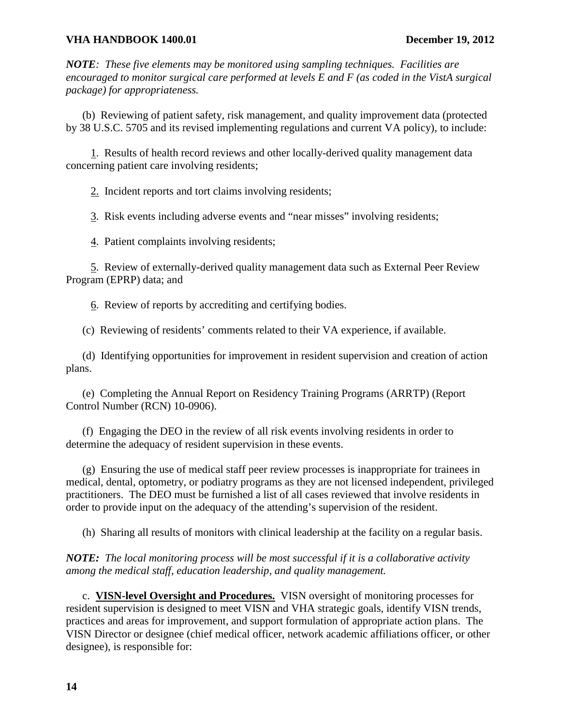*NOTE: These five elements may be monitored using sampling techniques. Facilities are encouraged to monitor surgical care performed at levels E and F (as coded in the VistA surgical package) for appropriateness.* 

(b) Reviewing of patient safety, risk management, and quality improvement data (protected by 38 U.S.C. 5705 and its revised implementing regulations and current VA policy), to include:

 1. Results of health record reviews and other locally-derived quality management data concerning patient care involving residents;

2. Incident reports and tort claims involving residents;

3. Risk events including adverse events and "near misses" involving residents;

4. Patient complaints involving residents;

 5. Review of externally-derived quality management data such as External Peer Review Program (EPRP) data; and

6. Review of reports by accrediting and certifying bodies.

(c) Reviewing of residents' comments related to their VA experience, if available.

 (d) Identifying opportunities for improvement in resident supervision and creation of action plans.

(e) Completing the Annual Report on Residency Training Programs (ARRTP) (Report Control Number (RCN) 10-0906).

(f) Engaging the DEO in the review of all risk events involving residents in order to determine the adequacy of resident supervision in these events.

(g) Ensuring the use of medical staff peer review processes is inappropriate for trainees in medical, dental, optometry, or podiatry programs as they are not licensed independent, privileged practitioners. The DEO must be furnished a list of all cases reviewed that involve residents in order to provide input on the adequacy of the attending's supervision of the resident.

(h) Sharing all results of monitors with clinical leadership at the facility on a regular basis.

*NOTE: The local monitoring process will be most successful if it is a collaborative activity among the medical staff, education leadership, and quality management.* 

c. **VISN-level Oversight and Procedures.** VISN oversight of monitoring processes for resident supervision is designed to meet VISN and VHA strategic goals, identify VISN trends, practices and areas for improvement, and support formulation of appropriate action plans. The VISN Director or designee (chief medical officer, network academic affiliations officer, or other designee), is responsible for: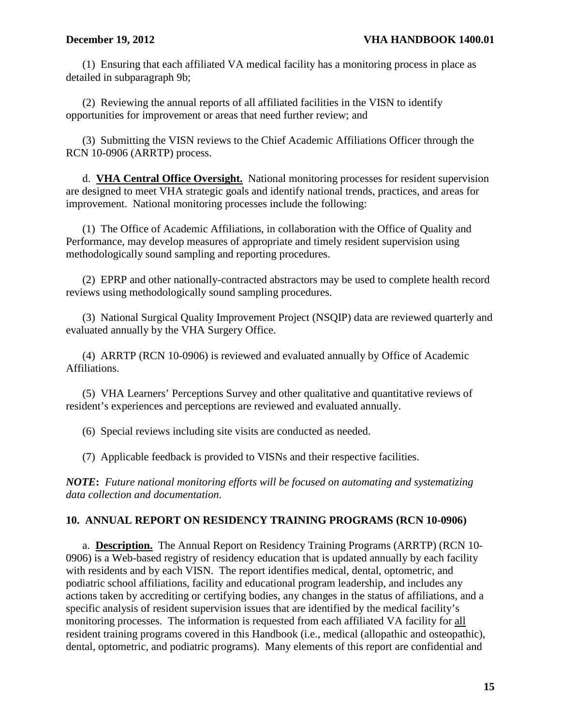<span id="page-17-0"></span>(1) Ensuring that each affiliated VA medical facility has a monitoring process in place as detailed in subparagraph 9b;

(2) Reviewing the annual reports of all affiliated facilities in the VISN to identify opportunities for improvement or areas that need further review; and

(3) Submitting the VISN reviews to the Chief Academic Affiliations Officer through the RCN 10-0906 (ARRTP) process.

 d. **VHA Central Office Oversight.** National monitoring processes for resident supervision are designed to meet VHA strategic goals and identify national trends, practices, and areas for improvement. National monitoring processes include the following:

(1) The Office of Academic Affiliations, in collaboration with the Office of Quality and Performance, may develop measures of appropriate and timely resident supervision using methodologically sound sampling and reporting procedures.

(2) EPRP and other nationally-contracted abstractors may be used to complete health record reviews using methodologically sound sampling procedures.

(3) National Surgical Quality Improvement Project (NSQIP) data are reviewed quarterly and evaluated annually by the VHA Surgery Office.

(4) ARRTP (RCN 10-0906) is reviewed and evaluated annually by Office of Academic Affiliations.

 (5) VHA Learners' Perceptions Survey and other qualitative and quantitative reviews of resident's experiences and perceptions are reviewed and evaluated annually.

(6) Special reviews including site visits are conducted as needed.

(7) Applicable feedback is provided to VISNs and their respective facilities.

*NOTE***:** *Future national monitoring efforts will be focused on automating and systematizing data collection and documentation*.

# **10. ANNUAL REPORT ON RESIDENCY TRAINING PROGRAMS (RCN 10-0906)**

a. **Description.** The Annual Report on Residency Training Programs (ARRTP) (RCN 10- 0906) is a Web-based registry of residency education that is updated annually by each facility with residents and by each VISN. The report identifies medical, dental, optometric, and podiatric school affiliations, facility and educational program leadership, and includes any actions taken by accrediting or certifying bodies, any changes in the status of affiliations, and a specific analysis of resident supervision issues that are identified by the medical facility's monitoring processes. The information is requested from each affiliated VA facility for all resident training programs covered in this Handbook (i.e., medical (allopathic and osteopathic), dental, optometric, and podiatric programs). Many elements of this report are confidential and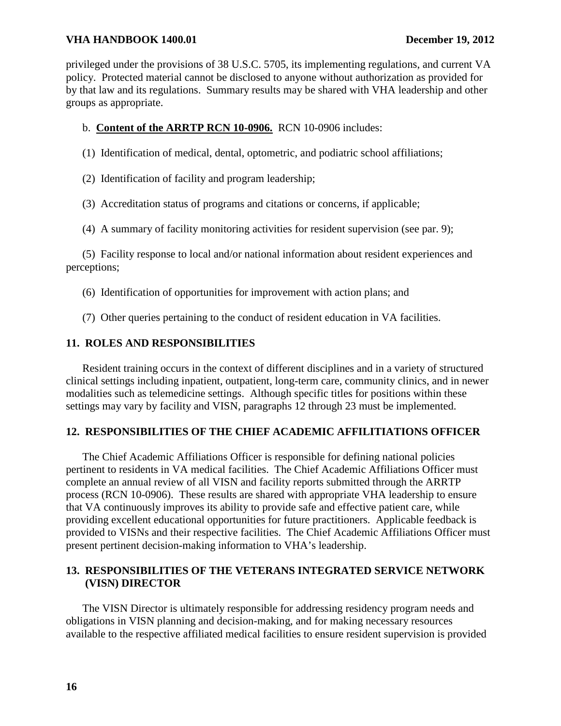<span id="page-18-0"></span>privileged under the provisions of 38 U.S.C. 5705, its implementing regulations, and current VA policy. Protected material cannot be disclosed to anyone without authorization as provided for by that law and its regulations. Summary results may be shared with VHA leadership and other groups as appropriate.

# b. **Content of the ARRTP RCN 10-0906.** RCN 10-0906 includes:

(1) Identification of medical, dental, optometric, and podiatric school affiliations;

(2) Identification of facility and program leadership;

(3) Accreditation status of programs and citations or concerns, if applicable;

(4) A summary of facility monitoring activities for resident supervision (see par. 9);

(5) Facility response to local and/or national information about resident experiences and perceptions;

(6) Identification of opportunities for improvement with action plans; and

(7) Other queries pertaining to the conduct of resident education in VA facilities.

# **11. ROLES AND RESPONSIBILITIES**

 Resident training occurs in the context of different disciplines and in a variety of structured clinical settings including inpatient, outpatient, long-term care, community clinics, and in newer modalities such as telemedicine settings. Although specific titles for positions within these settings may vary by facility and VISN, paragraphs 12 through 23 must be implemented.

# **12. RESPONSIBILITIES OF THE CHIEF ACADEMIC AFFILITIATIONS OFFICER**

The Chief Academic Affiliations Officer is responsible for defining national policies pertinent to residents in VA medical facilities. The Chief Academic Affiliations Officer must complete an annual review of all VISN and facility reports submitted through the ARRTP process (RCN 10-0906). These results are shared with appropriate VHA leadership to ensure that VA continuously improves its ability to provide safe and effective patient care, while providing excellent educational opportunities for future practitioners. Applicable feedback is provided to VISNs and their respective facilities. The Chief Academic Affiliations Officer must present pertinent decision-making information to VHA's leadership.

# **13. RESPONSIBILITIES OF THE VETERANS INTEGRATED SERVICE NETWORK (VISN) DIRECTOR**

The VISN Director is ultimately responsible for addressing residency program needs and obligations in VISN planning and decision-making, and for making necessary resources available to the respective affiliated medical facilities to ensure resident supervision is provided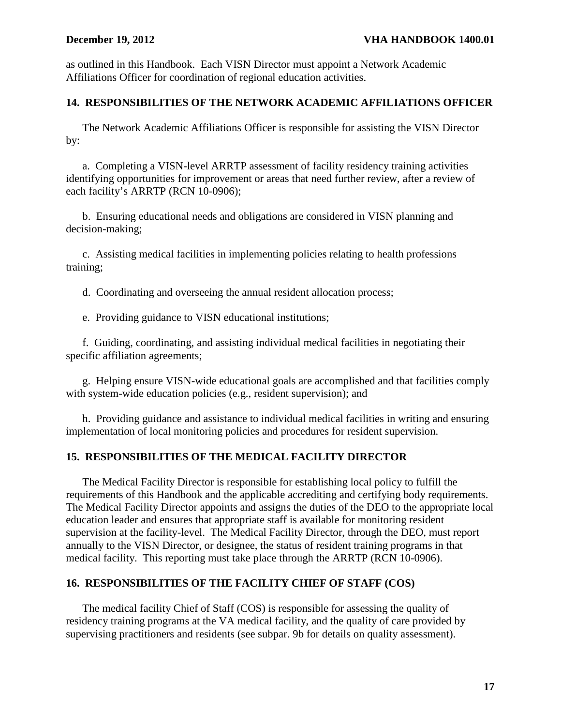<span id="page-19-0"></span>as outlined in this Handbook. Each VISN Director must appoint a Network Academic Affiliations Officer for coordination of regional education activities.

# **14. RESPONSIBILITIES OF THE NETWORK ACADEMIC AFFILIATIONS OFFICER**

The Network Academic Affiliations Officer is responsible for assisting the VISN Director by:

a. Completing a VISN-level ARRTP assessment of facility residency training activities identifying opportunities for improvement or areas that need further review, after a review of each facility's ARRTP (RCN 10-0906);

b. Ensuring educational needs and obligations are considered in VISN planning and decision-making;

c. Assisting medical facilities in implementing policies relating to health professions training;

d. Coordinating and overseeing the annual resident allocation process;

e. Providing guidance to VISN educational institutions;

f. Guiding, coordinating, and assisting individual medical facilities in negotiating their specific affiliation agreements;

g. Helping ensure VISN-wide educational goals are accomplished and that facilities comply with system-wide education policies (e.g., resident supervision); and

h. Providing guidance and assistance to individual medical facilities in writing and ensuring implementation of local monitoring policies and procedures for resident supervision.

# **15. RESPONSIBILITIES OF THE MEDICAL FACILITY DIRECTOR**

The Medical Facility Director is responsible for establishing local policy to fulfill the requirements of this Handbook and the applicable accrediting and certifying body requirements. The Medical Facility Director appoints and assigns the duties of the DEO to the appropriate local education leader and ensures that appropriate staff is available for monitoring resident supervision at the facility-level. The Medical Facility Director, through the DEO, must report annually to the VISN Director, or designee, the status of resident training programs in that medical facility. This reporting must take place through the ARRTP (RCN 10-0906).

# **16. RESPONSIBILITIES OF THE FACILITY CHIEF OF STAFF (COS)**

The medical facility Chief of Staff (COS) is responsible for assessing the quality of residency training programs at the VA medical facility, and the quality of care provided by supervising practitioners and residents (see subpar. 9b for details on quality assessment).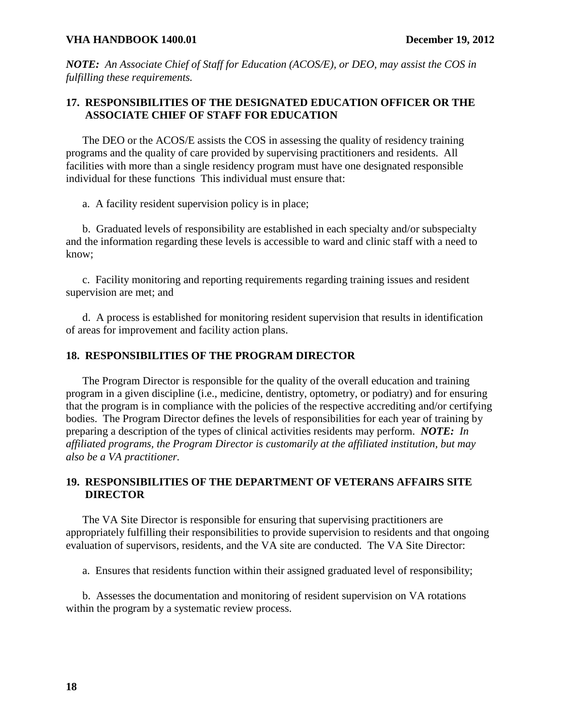<span id="page-20-0"></span>*NOTE: An Associate Chief of Staff for Education (ACOS/E), or DEO, may assist the COS in fulfilling these requirements.*

# **17. RESPONSIBILITIES OF THE DESIGNATED EDUCATION OFFICER OR THE ASSOCIATE CHIEF OF STAFF FOR EDUCATION**

The DEO or the ACOS/E assists the COS in assessing the quality of residency training programs and the quality of care provided by supervising practitioners and residents. All facilities with more than a single residency program must have one designated responsible individual for these functions This individual must ensure that:

a. A facility resident supervision policy is in place;

 b. Graduated levels of responsibility are established in each specialty and/or subspecialty and the information regarding these levels is accessible to ward and clinic staff with a need to know;

c. Facility monitoring and reporting requirements regarding training issues and resident supervision are met; and

 d. A process is established for monitoring resident supervision that results in identification of areas for improvement and facility action plans.

## **18. RESPONSIBILITIES OF THE PROGRAM DIRECTOR**

 The Program Director is responsible for the quality of the overall education and training program in a given discipline (i.e., medicine, dentistry, optometry, or podiatry) and for ensuring that the program is in compliance with the policies of the respective accrediting and/or certifying bodies. The Program Director defines the levels of responsibilities for each year of training by preparing a description of the types of clinical activities residents may perform. *NOTE: In affiliated programs, the Program Director is customarily at the affiliated institution, but may also be a VA practitioner.*

# **19. RESPONSIBILITIES OF THE DEPARTMENT OF VETERANS AFFAIRS SITE DIRECTOR**

The VA Site Director is responsible for ensuring that supervising practitioners are appropriately fulfilling their responsibilities to provide supervision to residents and that ongoing evaluation of supervisors, residents, and the VA site are conducted. The VA Site Director:

a. Ensures that residents function within their assigned graduated level of responsibility;

b. Assesses the documentation and monitoring of resident supervision on VA rotations within the program by a systematic review process.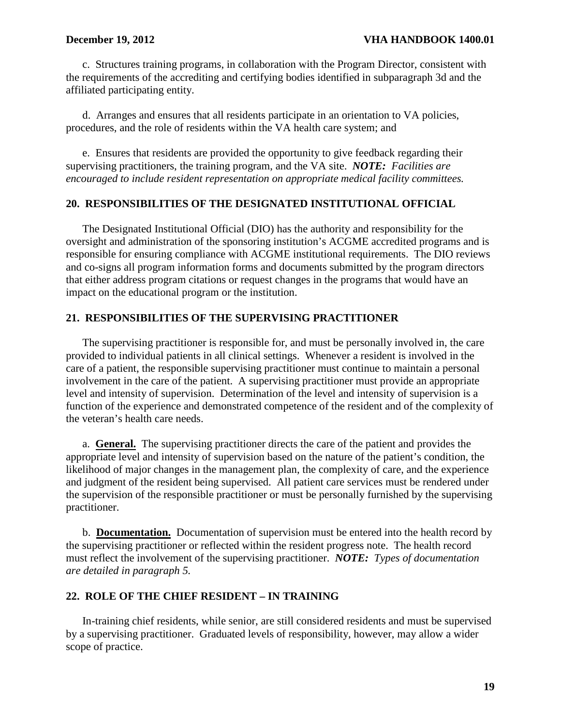<span id="page-21-0"></span>c. Structures training programs, in collaboration with the Program Director, consistent with the requirements of the accrediting and certifying bodies identified in subparagraph 3d and the affiliated participating entity.

 d. Arranges and ensures that all residents participate in an orientation to VA policies, procedures, and the role of residents within the VA health care system; and

e. Ensures that residents are provided the opportunity to give feedback regarding their supervising practitioners, the training program, and the VA site. *NOTE: Facilities are encouraged to include resident representation on appropriate medical facility committees.*

# **20. RESPONSIBILITIES OF THE DESIGNATED INSTITUTIONAL OFFICIAL**

The Designated Institutional Official (DIO) has the authority and responsibility for the oversight and administration of the sponsoring institution's ACGME accredited programs and is responsible for ensuring compliance with ACGME institutional requirements. The DIO reviews and co-signs all program information forms and documents submitted by the program directors that either address program citations or request changes in the programs that would have an impact on the educational program or the institution.

## **21. RESPONSIBILITIES OF THE SUPERVISING PRACTITIONER**

 The supervising practitioner is responsible for, and must be personally involved in, the care provided to individual patients in all clinical settings. Whenever a resident is involved in the care of a patient, the responsible supervising practitioner must continue to maintain a personal involvement in the care of the patient. A supervising practitioner must provide an appropriate level and intensity of supervision. Determination of the level and intensity of supervision is a function of the experience and demonstrated competence of the resident and of the complexity of the veteran's health care needs.

a. **General.** The supervising practitioner directs the care of the patient and provides the appropriate level and intensity of supervision based on the nature of the patient's condition, the likelihood of major changes in the management plan, the complexity of care, and the experience and judgment of the resident being supervised. All patient care services must be rendered under the supervision of the responsible practitioner or must be personally furnished by the supervising practitioner.

 b. **Documentation.** Documentation of supervision must be entered into the health record by the supervising practitioner or reflected within the resident progress note. The health record must reflect the involvement of the supervising practitioner. *NOTE: Types of documentation are detailed in paragraph 5.* 

## **22. ROLE OF THE CHIEF RESIDENT – IN TRAINING**

In-training chief residents, while senior, are still considered residents and must be supervised by a supervising practitioner. Graduated levels of responsibility, however, may allow a wider scope of practice.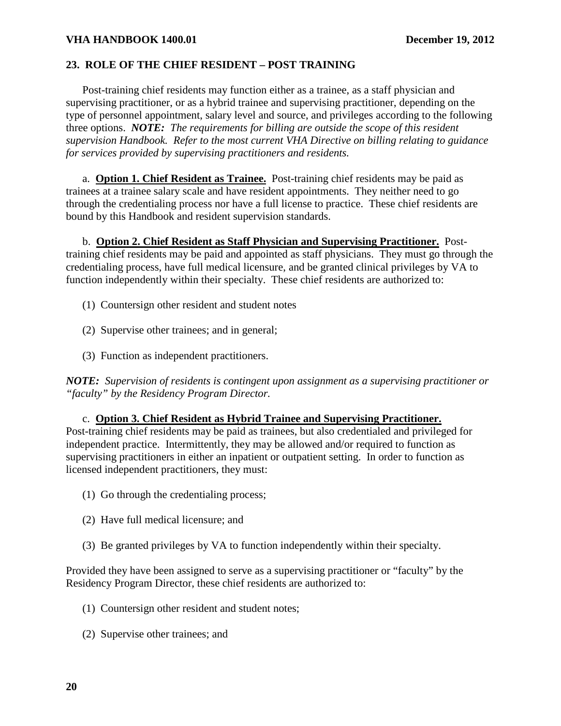# <span id="page-22-0"></span>**23. ROLE OF THE CHIEF RESIDENT – POST TRAINING**

 Post-training chief residents may function either as a trainee, as a staff physician and supervising practitioner, or as a hybrid trainee and supervising practitioner, depending on the type of personnel appointment, salary level and source, and privileges according to the following three options. *NOTE: The requirements for billing are outside the scope of this resident supervision Handbook. Refer to the most current VHA Directive on billing relating to guidance for services provided by supervising practitioners and residents.*

a. **Option 1. Chief Resident as Trainee.** Post-training chief residents may be paid as trainees at a trainee salary scale and have resident appointments. They neither need to go through the credentialing process nor have a full license to practice. These chief residents are bound by this Handbook and resident supervision standards.

 b. **Option 2. Chief Resident as Staff Physician and Supervising Practitioner.** Posttraining chief residents may be paid and appointed as staff physicians. They must go through the credentialing process, have full medical licensure, and be granted clinical privileges by VA to function independently within their specialty. These chief residents are authorized to:

- (1) Countersign other resident and student notes
- (2) Supervise other trainees; and in general;
- (3) Function as independent practitioners.

*NOTE: Supervision of residents is contingent upon assignment as a supervising practitioner or "faculty" by the Residency Program Director.* 

### c. **Option 3. Chief Resident as Hybrid Trainee and Supervising Practitioner.**

Post-training chief residents may be paid as trainees, but also credentialed and privileged for independent practice. Intermittently, they may be allowed and/or required to function as supervising practitioners in either an inpatient or outpatient setting. In order to function as licensed independent practitioners, they must:

- (1) Go through the credentialing process;
- (2) Have full medical licensure; and
- (3) Be granted privileges by VA to function independently within their specialty.

Provided they have been assigned to serve as a supervising practitioner or "faculty" by the Residency Program Director, these chief residents are authorized to:

- (1) Countersign other resident and student notes;
- (2) Supervise other trainees; and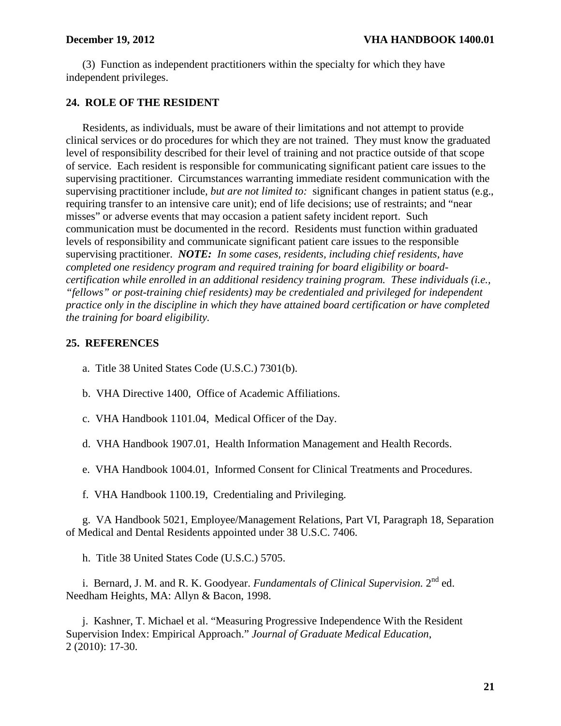<span id="page-23-0"></span>(3) Function as independent practitioners within the specialty for which they have independent privileges.

# **24. ROLE OF THE RESIDENT**

 Residents, as individuals, must be aware of their limitations and not attempt to provide clinical services or do procedures for which they are not trained. They must know the graduated level of responsibility described for their level of training and not practice outside of that scope of service. Each resident is responsible for communicating significant patient care issues to the supervising practitioner. Circumstances warranting immediate resident communication with the supervising practitioner include, *but are not limited to:* significant changes in patient status (e.g., requiring transfer to an intensive care unit); end of life decisions; use of restraints; and "near misses" or adverse events that may occasion a patient safety incident report. Such communication must be documented in the record. Residents must function within graduated levels of responsibility and communicate significant patient care issues to the responsible supervising practitioner. *NOTE: In some cases, residents, including chief residents, have completed one residency program and required training for board eligibility or boardcertification while enrolled in an additional residency training program. These individuals (i.e., "fellows" or post-training chief residents) may be credentialed and privileged for independent practice only in the discipline in which they have attained board certification or have completed the training for board eligibility.* 

## **25. REFERENCES**

a. Title 38 United States Code (U.S.C.) 7301(b).

- b. VHA Directive 1400, Office of Academic Affiliations.
- c. VHA Handbook 1101.04, Medical Officer of the Day.
- d. VHA Handbook 1907.01, Health Information Management and Health Records.
- e. VHA Handbook 1004.01, Informed Consent for Clinical Treatments and Procedures.
- f. VHA Handbook 1100.19, Credentialing and Privileging.

g. VA Handbook 5021, Employee/Management Relations, Part VI, Paragraph 18, Separation of Medical and Dental Residents appointed under 38 U.S.C. 7406.

h. Title 38 United States Code (U.S.C.) 5705.

i. Bernard, J. M. and R. K. Goodyear. *Fundamentals of Clinical Supervision.* 2nd ed. Needham Heights, MA: Allyn & Bacon, 1998.

j. Kashner, T. Michael et al. "Measuring Progressive Independence With the Resident Supervision Index: Empirical Approach." *Journal of Graduate Medical Education*, 2 (2010): 17-30.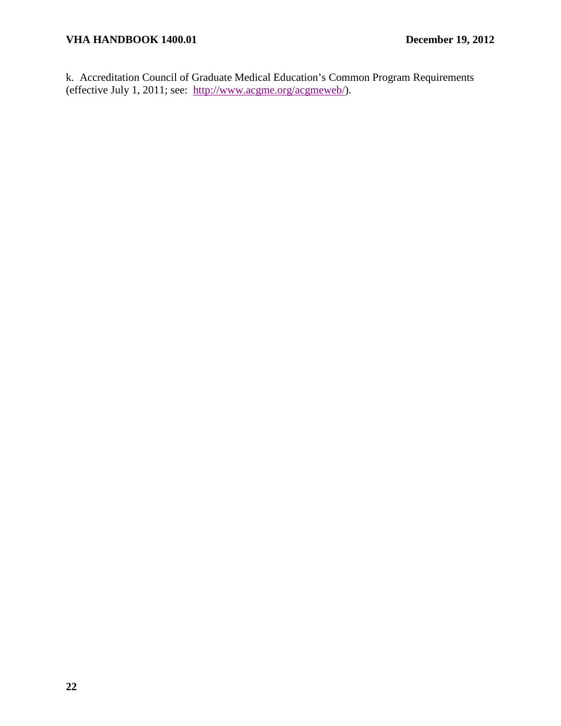k. Accreditation Council of Graduate Medical Education's Common Program Requirements (effective July 1, 2011; see: [http://www.acgme.org/acgmeweb/\)](http://www.acgme.org/acgmeweb/).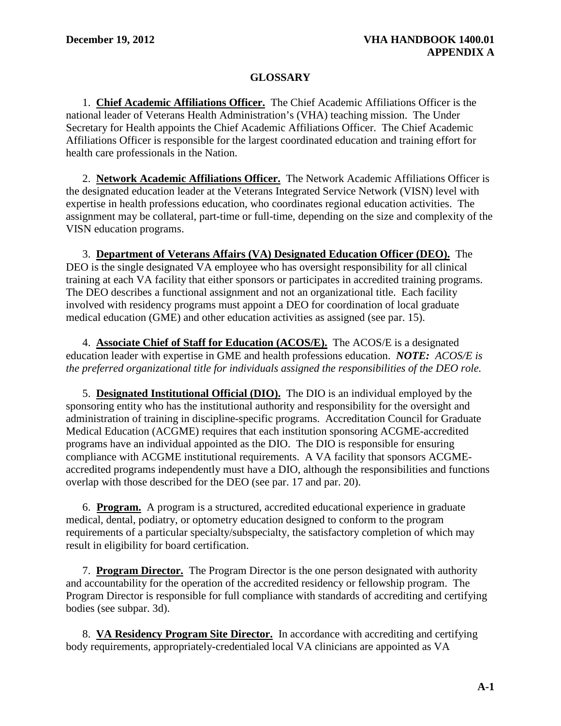# **GLOSSARY**

<span id="page-25-0"></span> 1. **Chief Academic Affiliations Officer.** The Chief Academic Affiliations Officer is the national leader of Veterans Health Administration's (VHA) teaching mission. The Under Secretary for Health appoints the Chief Academic Affiliations Officer. The Chief Academic Affiliations Officer is responsible for the largest coordinated education and training effort for health care professionals in the Nation.

 2. **Network Academic Affiliations Officer.** The Network Academic Affiliations Officer is the designated education leader at the Veterans Integrated Service Network (VISN) level with expertise in health professions education, who coordinates regional education activities. The assignment may be collateral, part-time or full-time, depending on the size and complexity of the VISN education programs.

 3. **Department of Veterans Affairs (VA) Designated Education Officer (DEO).** The DEO is the single designated VA employee who has oversight responsibility for all clinical training at each VA facility that either sponsors or participates in accredited training programs. The DEO describes a functional assignment and not an organizational title. Each facility involved with residency programs must appoint a DEO for coordination of local graduate medical education (GME) and other education activities as assigned (see par. 15).

 4. **Associate Chief of Staff for Education (ACOS/E).** The ACOS/E is a designated education leader with expertise in GME and health professions education. *NOTE: ACOS/E is the preferred organizational title for individuals assigned the responsibilities of the DEO role.* 

 5. **Designated Institutional Official (DIO).** The DIO is an individual employed by the sponsoring entity who has the institutional authority and responsibility for the oversight and administration of training in discipline-specific programs. Accreditation Council for Graduate Medical Education (ACGME) requires that each institution sponsoring ACGME-accredited programs have an individual appointed as the DIO. The DIO is responsible for ensuring compliance with ACGME institutional requirements. A VA facility that sponsors ACGMEaccredited programs independently must have a DIO, although the responsibilities and functions overlap with those described for the DEO (see par. 17 and par. 20).

6. **Program.** A program is a structured, accredited educational experience in graduate medical, dental, podiatry, or optometry education designed to conform to the program requirements of a particular specialty/subspecialty, the satisfactory completion of which may result in eligibility for board certification.

7. **Program Director.** The Program Director is the one person designated with authority and accountability for the operation of the accredited residency or fellowship program. The Program Director is responsible for full compliance with standards of accrediting and certifying bodies (see subpar. 3d).

8. **VA Residency Program Site Director.** In accordance with accrediting and certifying body requirements, appropriately-credentialed local VA clinicians are appointed as VA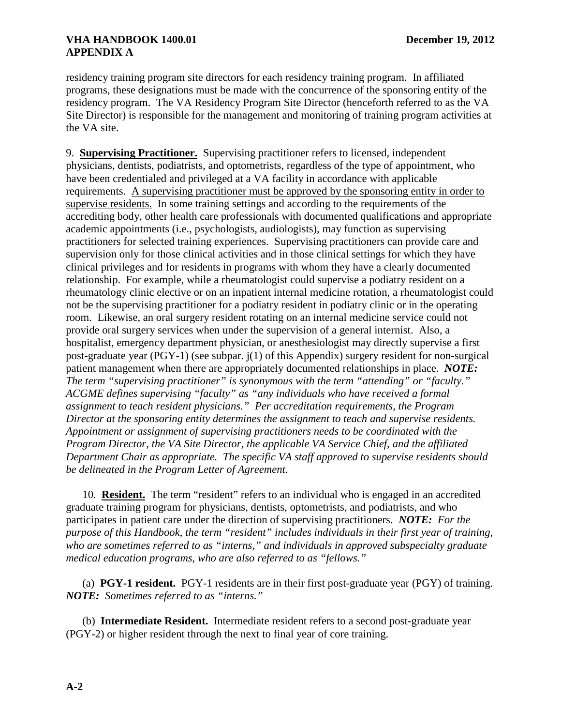residency training program site directors for each residency training program. In affiliated programs, these designations must be made with the concurrence of the sponsoring entity of the residency program. The VA Residency Program Site Director (henceforth referred to as the VA Site Director) is responsible for the management and monitoring of training program activities at the VA site.

9. **Supervising Practitioner.** Supervising practitioner refers to licensed, independent physicians, dentists, podiatrists, and optometrists, regardless of the type of appointment, who have been credentialed and privileged at a VA facility in accordance with applicable requirements. A supervising practitioner must be approved by the sponsoring entity in order to supervise residents. In some training settings and according to the requirements of the accrediting body, other health care professionals with documented qualifications and appropriate academic appointments (i.e., psychologists, audiologists), may function as supervising practitioners for selected training experiences. Supervising practitioners can provide care and supervision only for those clinical activities and in those clinical settings for which they have clinical privileges and for residents in programs with whom they have a clearly documented relationship. For example, while a rheumatologist could supervise a podiatry resident on a rheumatology clinic elective or on an inpatient internal medicine rotation, a rheumatologist could not be the supervising practitioner for a podiatry resident in podiatry clinic or in the operating room. Likewise, an oral surgery resident rotating on an internal medicine service could not provide oral surgery services when under the supervision of a general internist. Also, a hospitalist, emergency department physician, or anesthesiologist may directly supervise a first post-graduate year (PGY-1) (see subpar. j(1) of this Appendix) surgery resident for non-surgical patient management when there are appropriately documented relationships in place. *NOTE: The term "supervising practitioner" is synonymous with the term "attending" or "faculty." ACGME defines supervising "faculty" as "any individuals who have received a formal assignment to teach resident physicians." Per accreditation requirements, the Program Director at the sponsoring entity determines the assignment to teach and supervise residents. Appointment or assignment of supervising practitioners needs to be coordinated with the Program Director, the VA Site Director, the applicable VA Service Chief, and the affiliated Department Chair as appropriate. The specific VA staff approved to supervise residents should be delineated in the Program Letter of Agreement.* 

 10. **Resident.** The term "resident" refers to an individual who is engaged in an accredited graduate training program for physicians, dentists, optometrists, and podiatrists, and who participates in patient care under the direction of supervising practitioners. *NOTE: For the purpose of this Handbook, the term "resident" includes individuals in their first year of training, who are sometimes referred to as "interns," and individuals in approved subspecialty graduate medical education programs, who are also referred to as "fellows."* 

 (a) **PGY-1 resident.** PGY-1 residents are in their first post-graduate year (PGY) of training. *NOTE: Sometimes referred to as "interns."* 

 (b) **Intermediate Resident.** Intermediate resident refers to a second post-graduate year (PGY-2) or higher resident through the next to final year of core training.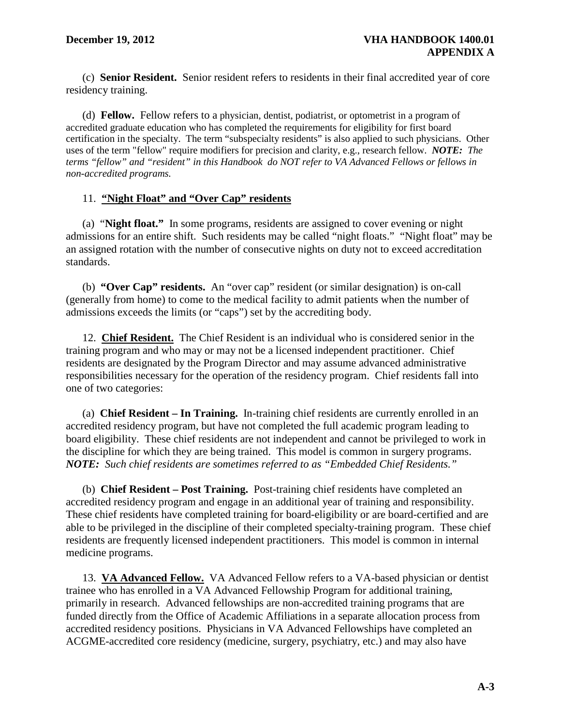(c) **Senior Resident.** Senior resident refers to residents in their final accredited year of core residency training.

 (d) **Fellow.** Fellow refers to a physician, dentist, podiatrist, or optometrist in a program of accredited graduate education who has completed the requirements for eligibility for first board certification in the specialty. The term "subspecialty residents" is also applied to such physicians. Other uses of the term "fellow" require modifiers for precision and clarity, e.g., research fellow. *NOTE: The terms "fellow" and "resident" in this Handbook do NOT refer to VA Advanced Fellows or fellows in non-accredited programs.*

# 11. **"Night Float" and "Over Cap" residents**

(a) "**Night float."** In some programs, residents are assigned to cover evening or night admissions for an entire shift. Such residents may be called "night floats." "Night float" may be an assigned rotation with the number of consecutive nights on duty not to exceed accreditation standards.

 (b) **"Over Cap" residents.** An "over cap" resident (or similar designation) is on-call (generally from home) to come to the medical facility to admit patients when the number of admissions exceeds the limits (or "caps") set by the accrediting body.

 12. **Chief Resident.** The Chief Resident is an individual who is considered senior in the training program and who may or may not be a licensed independent practitioner. Chief residents are designated by the Program Director and may assume advanced administrative responsibilities necessary for the operation of the residency program. Chief residents fall into one of two categories:

 (a) **Chief Resident – In Training.** In-training chief residents are currently enrolled in an accredited residency program, but have not completed the full academic program leading to board eligibility. These chief residents are not independent and cannot be privileged to work in the discipline for which they are being trained. This model is common in surgery programs. *NOTE: Such chief residents are sometimes referred to as "Embedded Chief Residents."* 

 (b) **Chief Resident – Post Training.** Post-training chief residents have completed an accredited residency program and engage in an additional year of training and responsibility. These chief residents have completed training for board-eligibility or are board-certified and are able to be privileged in the discipline of their completed specialty-training program. These chief residents are frequently licensed independent practitioners. This model is common in internal medicine programs.

 13. **VA Advanced Fellow.** VA Advanced Fellow refers to a VA-based physician or dentist trainee who has enrolled in a VA Advanced Fellowship Program for additional training, primarily in research. Advanced fellowships are non-accredited training programs that are funded directly from the Office of Academic Affiliations in a separate allocation process from accredited residency positions. Physicians in VA Advanced Fellowships have completed an ACGME-accredited core residency (medicine, surgery, psychiatry, etc.) and may also have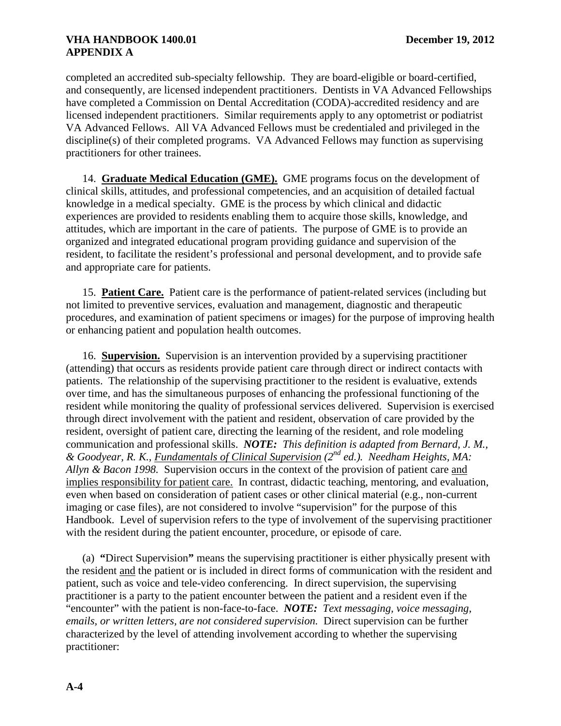completed an accredited sub-specialty fellowship. They are board-eligible or board-certified, and consequently, are licensed independent practitioners. Dentists in VA Advanced Fellowships have completed a Commission on Dental Accreditation (CODA)-accredited residency and are licensed independent practitioners. Similar requirements apply to any optometrist or podiatrist VA Advanced Fellows. All VA Advanced Fellows must be credentialed and privileged in the discipline(s) of their completed programs. VA Advanced Fellows may function as supervising practitioners for other trainees.

 14. **Graduate Medical Education (GME).** GME programs focus on the development of clinical skills, attitudes, and professional competencies, and an acquisition of detailed factual knowledge in a medical specialty. GME is the process by which clinical and didactic experiences are provided to residents enabling them to acquire those skills, knowledge, and attitudes, which are important in the care of patients. The purpose of GME is to provide an organized and integrated educational program providing guidance and supervision of the resident, to facilitate the resident's professional and personal development, and to provide safe and appropriate care for patients.

 15. **Patient Care.** Patient care is the performance of patient-related services (including but not limited to preventive services, evaluation and management, diagnostic and therapeutic procedures, and examination of patient specimens or images) for the purpose of improving health or enhancing patient and population health outcomes.

 16. **Supervision.** Supervision is an intervention provided by a supervising practitioner (attending) that occurs as residents provide patient care through direct or indirect contacts with patients. The relationship of the supervising practitioner to the resident is evaluative, extends over time, and has the simultaneous purposes of enhancing the professional functioning of the resident while monitoring the quality of professional services delivered. Supervision is exercised through direct involvement with the patient and resident, observation of care provided by the resident, oversight of patient care, directing the learning of the resident, and role modeling communication and professional skills. *NOTE: This definition is adapted from Bernard, J. M., & Goodyear, R. K., Fundamentals of Clinical Supervision (2nd ed.). Needham Heights, MA: Allyn & Bacon 1998.* Supervision occurs in the context of the provision of patient care and implies responsibility for patient care. In contrast, didactic teaching, mentoring, and evaluation, even when based on consideration of patient cases or other clinical material (e.g., non-current imaging or case files), are not considered to involve "supervision" for the purpose of this Handbook. Level of supervision refers to the type of involvement of the supervising practitioner with the resident during the patient encounter, procedure, or episode of care.

 (a) **"**Direct Supervision**"** means the supervising practitioner is either physically present with the resident and the patient or is included in direct forms of communication with the resident and patient, such as voice and tele-video conferencing. In direct supervision, the supervising practitioner is a party to the patient encounter between the patient and a resident even if the "encounter" with the patient is non-face-to-face. *NOTE: Text messaging, voice messaging, emails, or written letters, are not considered supervision.* Direct supervision can be further characterized by the level of attending involvement according to whether the supervising practitioner: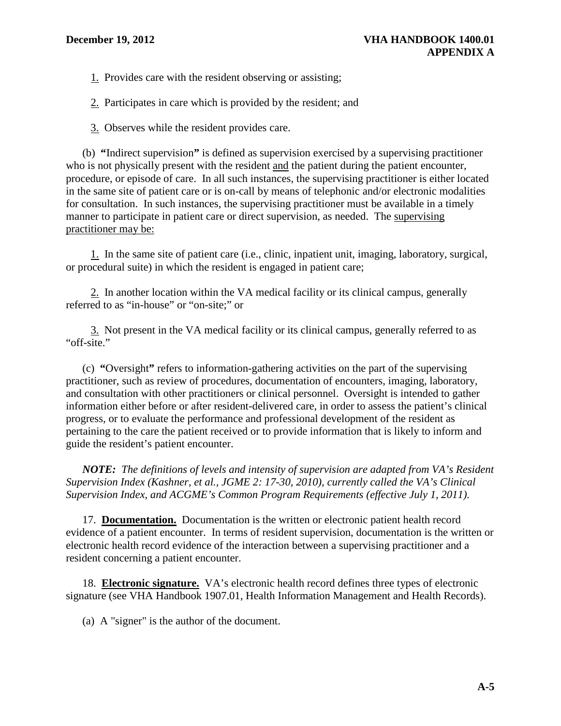1. Provides care with the resident observing or assisting;

2. Participates in care which is provided by the resident; and

3. Observes while the resident provides care.

 (b) **"**Indirect supervision**"** is defined as supervision exercised by a supervising practitioner who is not physically present with the resident and the patient during the patient encounter, procedure, or episode of care. In all such instances, the supervising practitioner is either located in the same site of patient care or is on-call by means of telephonic and/or electronic modalities for consultation. In such instances, the supervising practitioner must be available in a timely manner to participate in patient care or direct supervision, as needed. The supervising practitioner may be:

 1. In the same site of patient care (i.e., clinic, inpatient unit, imaging, laboratory, surgical, or procedural suite) in which the resident is engaged in patient care;

 2. In another location within the VA medical facility or its clinical campus, generally referred to as "in-house" or "on-site;" or

 3. Not present in the VA medical facility or its clinical campus, generally referred to as "off-site."

 (c) **"**Oversight**"** refers to information-gathering activities on the part of the supervising practitioner, such as review of procedures, documentation of encounters, imaging, laboratory, and consultation with other practitioners or clinical personnel. Oversight is intended to gather information either before or after resident-delivered care, in order to assess the patient's clinical progress, or to evaluate the performance and professional development of the resident as pertaining to the care the patient received or to provide information that is likely to inform and guide the resident's patient encounter.

*NOTE: The definitions of levels and intensity of supervision are adapted from VA's Resident Supervision Index (Kashner, et al., JGME 2: 17-30, 2010), currently called the VA's Clinical Supervision Index, and ACGME's Common Program Requirements (effective July 1, 2011).* 

 17. **Documentation.** Documentation is the written or electronic patient health record evidence of a patient encounter. In terms of resident supervision, documentation is the written or electronic health record evidence of the interaction between a supervising practitioner and a resident concerning a patient encounter.

 18. **Electronic signature.** VA's electronic health record defines three types of electronic signature (see VHA Handbook 1907.01, Health Information Management and Health Records).

(a) A "signer" is the author of the document.